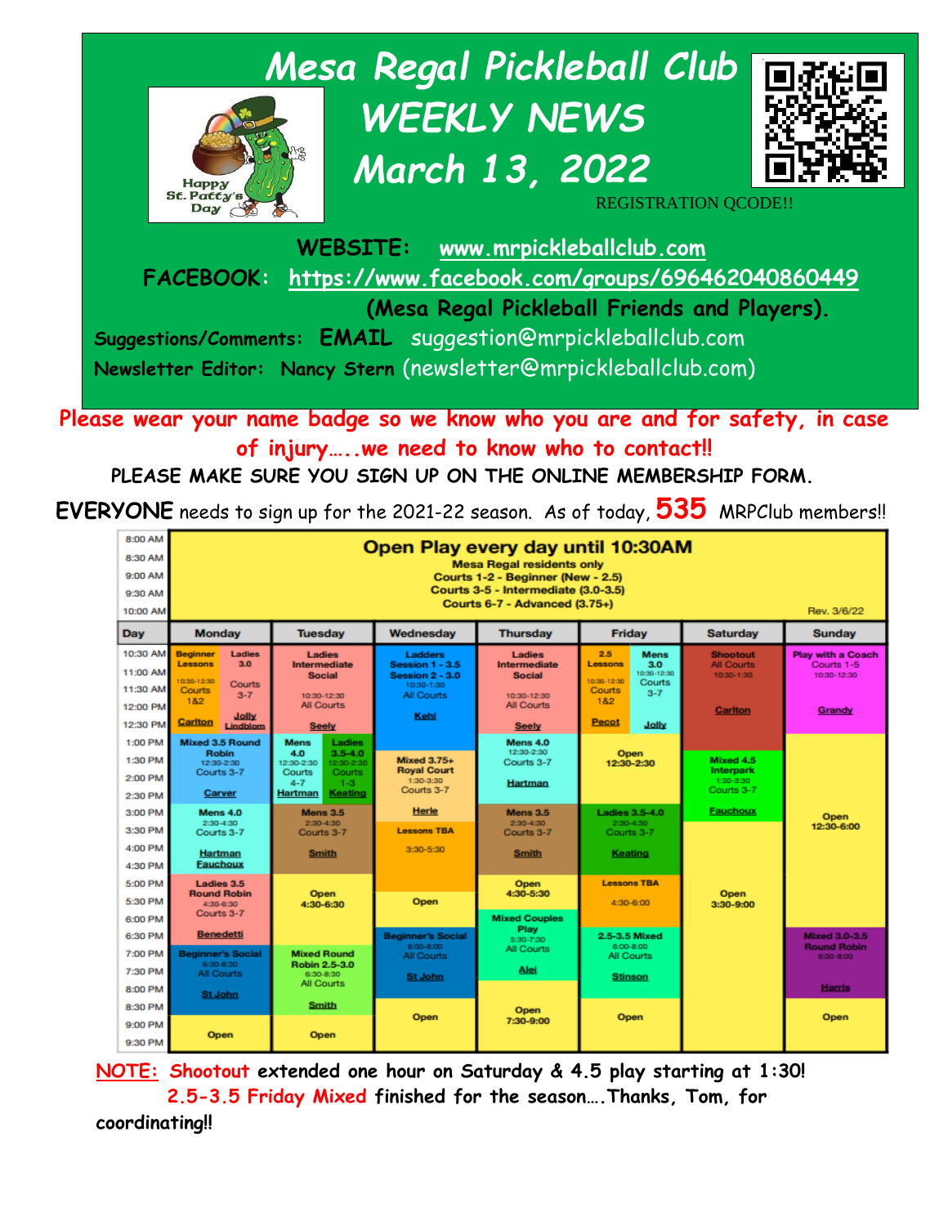

**Please wear your name badge so we know who you are and for safety, in case of injury…..we need to know who to contact!!**

**PLEASE MAKE SURE YOU SIGN UP ON THE ONLINE MEMBERSHIP FORM.** 

**EVERYONE** needs to sign up for the 2021-22 season. As of today, **535** MRPClub members!!



**NOTE: Shootout extended one hour on Saturday & 4.5 play starting at 1:30! 2.5-3.5 Friday Mixed finished for the season….Thanks, Tom, for coordinating!!**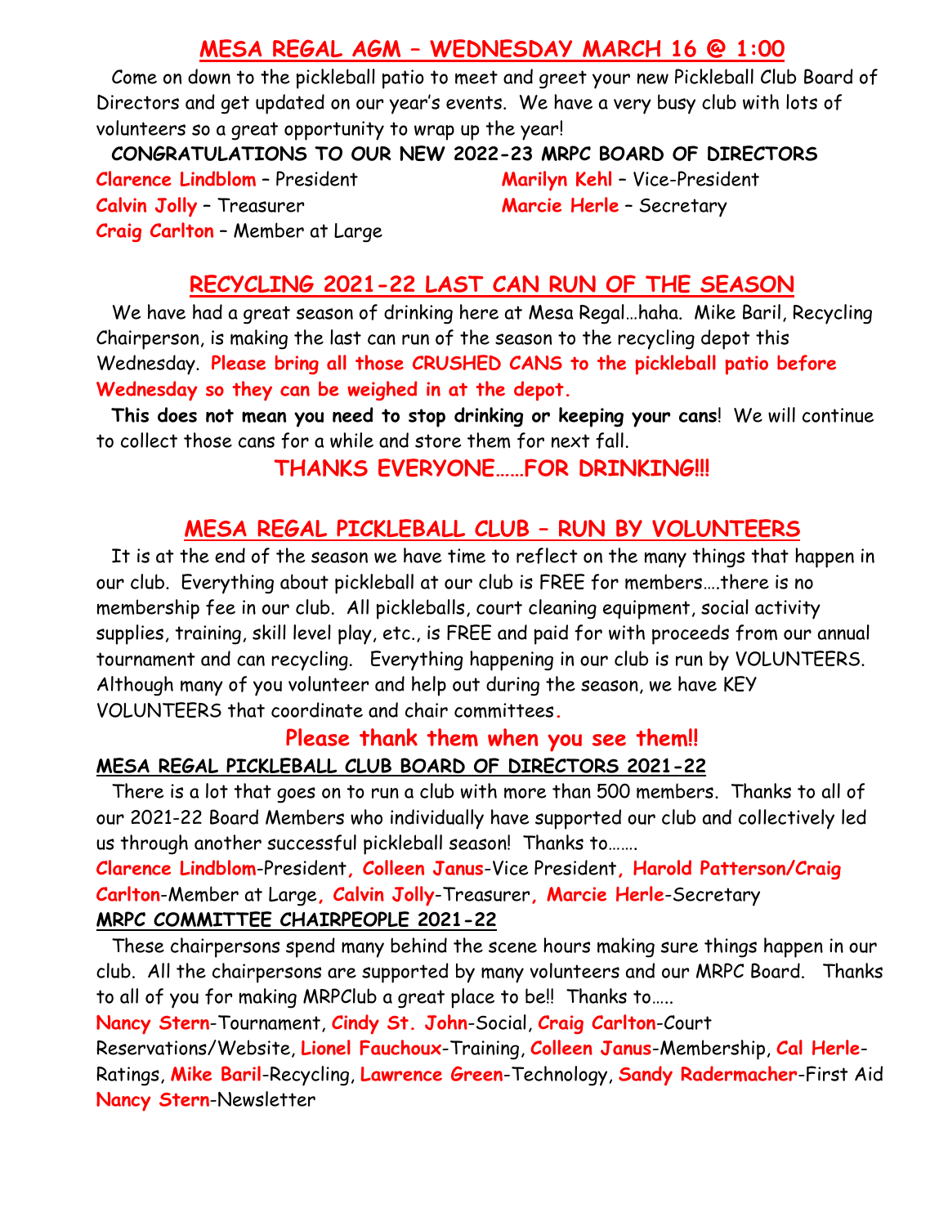## **MESA REGAL AGM – WEDNESDAY MARCH 16 @ 1:00**

Come on down to the pickleball patio to meet and greet your new Pickleball Club Board of Directors and get updated on our year's events. We have a very busy club with lots of volunteers so a great opportunity to wrap up the year!

**CONGRATULATIONS TO OUR NEW 2022-23 MRPC BOARD OF DIRECTORS**

**Clarence Lindblom** – President **Marilyn Kehl** – Vice-President **Calvin Jolly** – Treasurer **Marcie Herle** – Secretary **Craig Carlton** – Member at Large

## **RECYCLING 2021-22 LAST CAN RUN OF THE SEASON**

We have had a great season of drinking here at Mesa Regal…haha. Mike Baril, Recycling Chairperson, is making the last can run of the season to the recycling depot this Wednesday. **Please bring all those CRUSHED CANS to the pickleball patio before Wednesday so they can be weighed in at the depot.**

**This does not mean you need to stop drinking or keeping your cans**! We will continue to collect those cans for a while and store them for next fall.

## **THANKS EVERYONE……FOR DRINKING!!!**

# **MESA REGAL PICKLEBALL CLUB – RUN BY VOLUNTEERS**

It is at the end of the season we have time to reflect on the many things that happen in our club. Everything about pickleball at our club is FREE for members….there is no membership fee in our club. All pickleballs, court cleaning equipment, social activity supplies, training, skill level play, etc., is FREE and paid for with proceeds from our annual tournament and can recycling. Everything happening in our club is run by VOLUNTEERS. Although many of you volunteer and help out during the season, we have KEY VOLUNTEERS that coordinate and chair committees**.** 

## **Please thank them when you see them!! MESA REGAL PICKLEBALL CLUB BOARD OF DIRECTORS 2021-22**

There is a lot that goes on to run a club with more than 500 members. Thanks to all of our 2021-22 Board Members who individually have supported our club and collectively led us through another successful pickleball season! Thanks to…….

**Clarence Lindblom**-President**, Colleen Janus**-Vice President**, Harold Patterson/Craig Carlton**-Member at Large**, Calvin Jolly**-Treasurer**, Marcie Herle**-Secretary **MRPC COMMITTEE CHAIRPEOPLE 2021-22**

These chairpersons spend many behind the scene hours making sure things happen in our club. All the chairpersons are supported by many volunteers and our MRPC Board. Thanks to all of you for making MRPClub a great place to be!! Thanks to…..

**Nancy Stern**-Tournament, **Cindy St. John**-Social, **Craig Carlton**-Court

Reservations/Website, **Lionel Fauchoux**-Training, **Colleen Janus**-Membership, **Cal Herle**-Ratings, **Mike Baril**-Recycling, **Lawrence Green**-Technology, **Sandy Radermacher**-First Aid **Nancy Stern**-Newsletter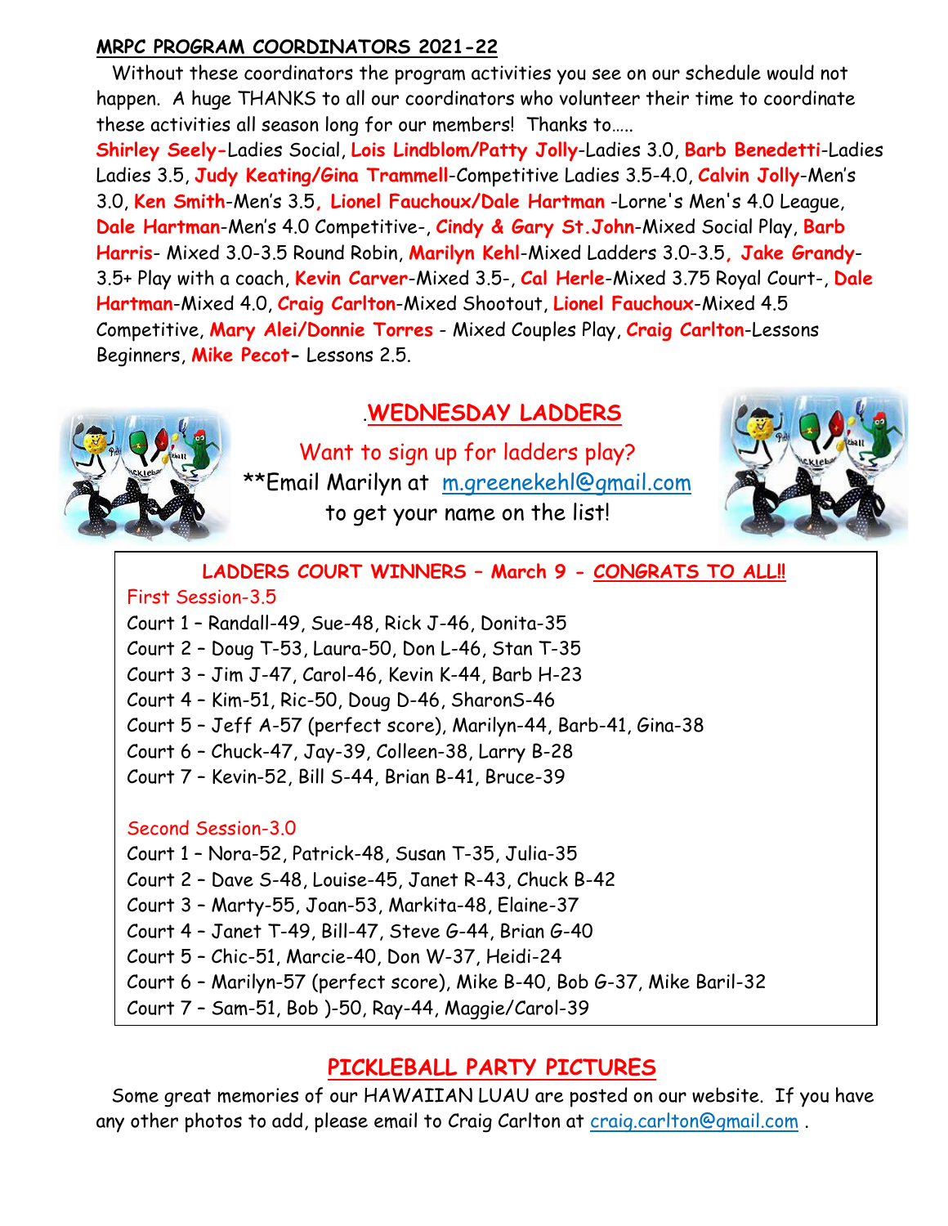### **MRPC PROGRAM COORDINATORS 2021-22**

Without these coordinators the program activities you see on our schedule would not happen. A huge THANKS to all our coordinators who volunteer their time to coordinate these activities all season long for our members! Thanks to…..

**Shirley Seely-**Ladies Social, **Lois Lindblom/Patty Jolly**-Ladies 3.0, **Barb Benedetti**-Ladies Ladies 3.5, **Judy Keating/Gina Trammell**-Competitive Ladies 3.5-4.0, **Calvin Jolly**-Men's 3.0, **Ken Smith**-Men's 3.5**, Lionel Fauchoux/Dale Hartman** -Lorne's Men's 4.0 League, **Dale Hartman**-Men's 4.0 Competitive-, **Cindy & Gary St.John**-Mixed Social Play, **Barb Harris**- Mixed 3.0-3.5 Round Robin, **Marilyn Kehl**-Mixed Ladders 3.0-3.5**, Jake Grandy**-3.5+ Play with a coach, **Kevin Carver**-Mixed 3.5-, **Cal Herle**-Mixed 3.75 Royal Court-, **Dale Hartman**-Mixed 4.0, **Craig Carlton**-Mixed Shootout, **Lionel Fauchoux**-Mixed 4.5 Competitive, **Mary Alei/Donnie Torres** - Mixed Couples Play, **Craig Carlton**-Lessons Beginners, **Mike Pecot-** Lessons 2.5.

# .**WEDNESDAY LADDERS**

Want to sign up for ladders play? \*\*Email Marilyn at [m.greenekehl@gmail.com](mailto:m.greenekehl@gmail.com) to get your name on the list!



### **LADDERS COURT WINNERS – March 9 - CONGRATS TO ALL!!** First Session-3.5

Court 1 – Randall-49, Sue-48, Rick J-46, Donita-35

Court 2 – Doug T-53, Laura-50, Don L-46, Stan T-35

Court 3 – Jim J-47, Carol-46, Kevin K-44, Barb H-23

Court 4 – Kim-51, Ric-50, Doug D-46, SharonS-46

Court 5 – Jeff A-57 (perfect score), Marilyn-44, Barb-41, Gina-38

Court 6 – Chuck-47, Jay-39, Colleen-38, Larry B-28

Court 7 – Kevin-52, Bill S-44, Brian B-41, Bruce-39

### Second Session-3.0

Court 1 – Nora-52, Patrick-48, Susan T-35, Julia-35

Court 2 – Dave S-48, Louise-45, Janet R-43, Chuck B-42

Court 3 – Marty-55, Joan-53, Markita-48, Elaine-37

Court 4 – Janet T-49, Bill-47, Steve G-44, Brian G-40

Court 5 – Chic-51, Marcie-40, Don W-37, Heidi-24

Court 6 – Marilyn-57 (perfect score), Mike B-40, Bob G-37, Mike Baril-32

Court 7 – Sam-51, Bob )-50, Ray-44, Maggie/Carol-39

# **PICKLEBALL PARTY PICTURES**

Some great memories of our HAWAIIAN LUAU are posted on our website. If you have any other photos to add, please email to Craig Carlton at [craig.carlton@gmail.com](mailto:craig.carlton@gmail.com) .